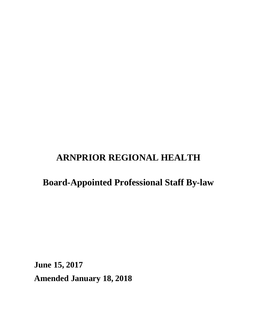# **ARNPRIOR REGIONAL HEALTH**

# **Board-Appointed Professional Staff By-law**

**June 15, 2017 Amended January 18, 2018**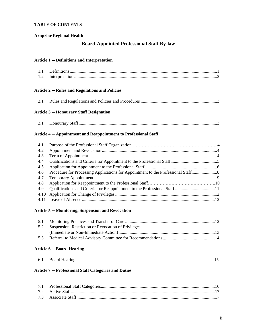#### **TABLE OF CONTENTS**

#### **Arnprior Regional Health**

#### **Board-Appointed Professional Staff By-law**

#### **Article 1** െ **Definitions and Interpretation**

### Article 2 – Rules and Regulations and Policies

|--|--|--|--|

#### **Article 3** െ **Honourary Staff Designation**

| $\sim$ |  |
|--------|--|
|--------|--|

#### **Article 4** െ **Appointment and Reappointment to Professional Staff**

| 4.1 |  |
|-----|--|
| 4.2 |  |
| 4.3 |  |
| 4.4 |  |
| 4.5 |  |
| 4.6 |  |
| 4.7 |  |
| 4.8 |  |
| 4.9 |  |
|     |  |
|     |  |

#### Article 5 – Monitoring, Suspension and Revocation

| 5.2 Suspension, Restriction or Revocation of Privileges |
|---------------------------------------------------------|
|                                                         |
|                                                         |

#### **Article 6** െ **Board Hearing**

|--|--|--|--|

#### **Article 7** െ **Professional Staff Categories and Duties**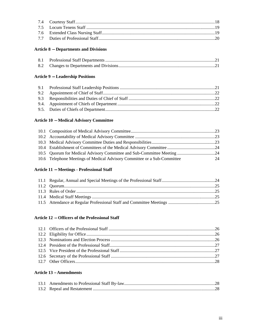### **Article 8** െ **Departments and Divisions**

### **Article 9** െ **Leadership Positions**

### **Article 10** െ **Medical Advisory Committee**

| 10.6 Telephone Meetings of Medical Advisory Committee or a Sub-Committee | 24 |
|--------------------------------------------------------------------------|----|

### **Article 11** െ **Meetings - Professional Staff**

### **Article 12** െ **Officers of the Professional Staff**

#### **Article 13** – **Amendments**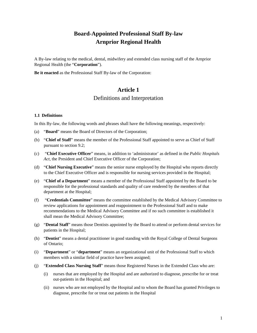# **Board-Appointed Professional Staff By-law Arnprior Regional Health**

A By-law relating to the medical, dental, midwifery and extended class nursing staff of the Arnprior Regional Health (the "**Corporation**").

**Be it enacted** as the Professional Staff By-law of the Corporation:

# **Article 1**  Definitions and Interpretation

#### **1.1 Definitions**

In this By-law, the following words and phrases shall have the following meanings, respectively:

- (a) "**Board**" means the Board of Directors of the Corporation;
- (b) "**Chief of Staff**" means the member of the Professional Staff appointed to serve as Chief of Staff pursuant to section 9.2;
- (c) "**Chief Executive Officer**" means, in addition to 'administrator' as defined in the *Public Hospitals Act*, the President and Chief Executive Officer of the Corporation;
- (d) "**Chief Nursing Executive**" means the senior nurse employed by the Hospital who reports directly to the Chief Executive Officer and is responsible for nursing services provided in the Hospital;
- (e) "**Chief of a Department**" means a member of the Professional Staff appointed by the Board to be responsible for the professional standards and quality of care rendered by the members of that department at the Hospital;
- (f) "**Credentials Committee**" means the committee established by the Medical Advisory Committee to review applications for appointment and reappointment to the Professional Staff and to make recommendations to the Medical Advisory Committee and if no such committee is established it shall mean the Medical Advisory Committee;
- (g) "**Dental Staff**" means those Dentists appointed by the Board to attend or perform dental services for patients in the Hospital;
- (h) "**Dentist**" means a dental practitioner in good standing with the Royal College of Dental Surgeons of Ontario;
- (i) "**Department**" or "**department**" means an organizational unit of the Professional Staff to which members with a similar field of practice have been assigned;
- (j) "**Extended Class Nursing Staff**" means those Registered Nurses in the Extended Class who are:
	- (i) nurses that are employed by the Hospital and are authorized to diagnose, prescribe for or treat out-patients in the Hospital; and
	- (ii) nurses who are not employed by the Hospital and to whom the Board has granted Privileges to diagnose, prescribe for or treat out patients in the Hospital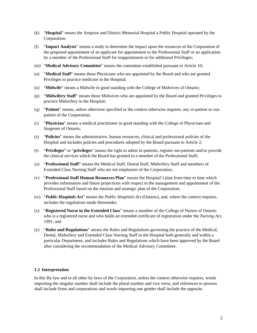- (k) "**Hospital**" means the Arnprior and District Memorial Hospital a Public Hospital operated by the Corporation;
- (l) "**Impact Analysis**" means a study to determine the impact upon the resources of the Corporation of the proposed appointment of an applicant for appointment to the Professional Staff or an application by a member of the Professional Staff for reappointment or for additional Privileges;
- (m) "**Medical Advisory Committee**" means the committee established pursuant to Article 10;
- (n) "**Medical Staff**" means those Physicians who are appointed by the Board and who are granted Privileges to practice medicine in the Hospital;
- (o) "**Midwife**" means a Midwife in good standing with the College of Midwives of Ontario;
- (p) "**Midwifery Staff**" means those Midwives who are appointed by the Board and granted Privileges to practice Midwifery in the Hospital;
- (q) "**Patient**" means, unless otherwise specified or the context otherwise requires, any in-patient or outpatient of the Corporation;
- (r) "**Physician**" means a medical practitioner in good standing with the College of Physicians and Surgeons of Ontario;
- (s) "**Policies**" means the administrative, human resources, clinical and professional policies of the Hospital and includes policies and procedures adopted by the Board pursuant to Article 2;
- (t) "**Privileges**" or "**privileges**" means the right to admit in-patients, register out-patients and/or provide the clinical services which the Board has granted to a member of the Professional Staff;
- (u) "**Professional Staff**" means the Medical Staff, Dental Staff, Midwifery Staff and members of Extended Class Nursing Staff who are not employees of the Corporation;
- (v) "**Professional Staff Human Resources Plan**" means the Hospital's plan from time to time which provides information and future projections with respect to the management and appointment of the Professional Staff based on the mission and strategic plan of the Corporation;
- (w) "*Public Hospitals Act*" means the *Public Hospitals Act* (Ontario), and, where the context requires, includes the regulations made thereunder;
- (x) "**Registered Nurse in the Extended Class**" means a member of the College of Nurses of Ontario who is a registered nurse and who holds an extended certificate of registration under the *Nursing Act*, *1991*; and
- (y) "**Rules and Regulations**" means the Rules and Regulations governing the practice of the Medical, Dental, Midwifery and Extended Class Nursing Staff in the Hospital both generally and within a particular Department, and includes Rules and Regulations which have been approved by the Board after considering the recommendation of the Medical Advisory Committee.

#### **1.2 Interpretation**

In this By-law and in all other by-laws of the Corporation, unless the context otherwise requires, words importing the singular number shall include the plural number and vice versa, and references to persons shall include firms and corporations and words importing one gender shall include the opposite.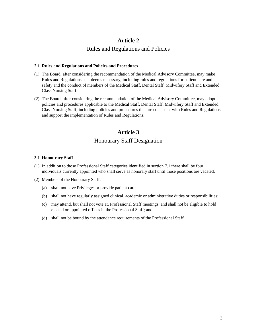## **Article 2**

# Rules and Regulations and Policies

#### **2.1 Rules and Regulations and Policies and Procedures**

- (1) The Board, after considering the recommendation of the Medical Advisory Committee, may make Rules and Regulations as it deems necessary, including rules and regulations for patient care and safety and the conduct of members of the Medical Staff, Dental Staff, Midwifery Staff and Extended Class Nursing Staff.
- (2) The Board, after considering the recommendation of the Medical Advisory Committee, may adopt policies and procedures applicable to the Medical Staff, Dental Staff, Midwifery Staff and Extended Class Nursing Staff, including policies and procedures that are consistent with Rules and Regulations and support the implementation of Rules and Regulations.

# **Article 3**  Honourary Staff Designation

#### **3.1 Honourary Staff**

- (1) In addition to those Professional Staff categories identified in section 7.1 there shall be four individuals currently appointed who shall serve as honorary staff until those positions are vacated.
- (2) Members of the Honourary Staff:
	- (a) shall not have Privileges or provide patient care;
	- (b) shall not have regularly assigned clinical, academic or administrative duties or responsibilities;
	- (c) may attend, but shall not vote at, Professional Staff meetings, and shall not be eligible to hold elected or appointed offices in the Professional Staff; and
	- (d) shall not be bound by the attendance requirements of the Professional Staff.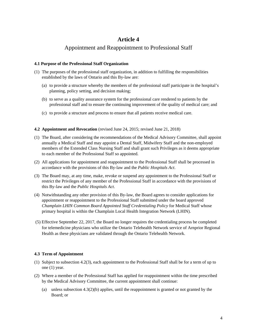# **Article 4**

# Appointment and Reappointment to Professional Staff

#### **4.1 Purpose of the Professional Staff Organization**

- (1) The purposes of the professional staff organization, in addition to fulfilling the responsibilities established by the laws of Ontario and this By-law are:
	- (a) to provide a structure whereby the members of the professional staff participate in the hospital's planning, policy setting, and decision making;
	- (b) to serve as a quality assurance system for the professional care rendered to patients by the professional staff and to ensure the continuing improvement of the quality of medical care; and
	- (c) to provide a structure and process to ensure that all patients receive medical care.

#### **4.2 Appointment and Revocation** (revised June 24, 2015; revised June 21, 2018)

- (1) The Board, after considering the recommendations of the Medical Advisory Committee, shall appoint annually a Medical Staff and may appoint a Dental Staff, Midwifery Staff and the non-employed members of the Extended Class Nursing Staff and shall grant such Privileges as it deems appropriate to each member of the Professional Staff so appointed.
- (2) All applications for appointment and reappointment to the Professional Staff shall be processed in accordance with the provisions of this By-law and the *Public Hospitals Act*.
- (3) The Board may, at any time, make, revoke or suspend any appointment to the Professional Staff or restrict the Privileges of any member of the Professional Staff in accordance with the provisions of this By-law and the *Public Hospitals Act*.
- (4) Notwithstanding any other provision of this By-law, the Board agrees to consider applications for appointment or reappointment to the Professional Staff submitted under the board approved *Champlain LHIN Common Board Appointed Staff Credentialing Policy* for Medical Staff whose primary hospital is within the Champlain Local Health Integration Network (LHIN).
- (5) Effective September 22, 2017, the Board no longer requires the credentialing process be completed for telemedicine physicians who utilize the Ontario Telehealth Network service of Arnprior Regional Health as these physicians are validated through the Ontario Telehealth Network.

#### **4.3 Term of Appointment**

- (1) Subject to subsection 4.2(3), each appointment to the Professional Staff shall be for a term of up to one (1) year.
- (2) Where a member of the Professional Staff has applied for reappointment within the time prescribed by the Medical Advisory Committee, the current appointment shall continue:
	- (a) unless subsection 4.3(2)(b) applies, until the reappointment is granted or not granted by the Board; or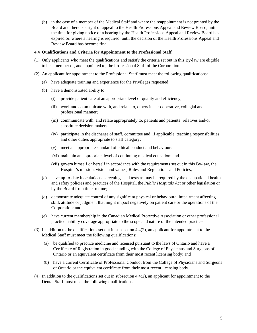(b) in the case of a member of the Medical Staff and where the reappointment is not granted by the Board and there is a right of appeal to the Health Professions Appeal and Review Board, until the time for giving notice of a hearing by the Health Professions Appeal and Review Board has expired or, where a hearing is required, until the decision of the Health Professions Appeal and Review Board has become final.

#### **4.4 Qualifications and Criteria for Appointment to the Professional Staff**

- (1) Only applicants who meet the qualifications and satisfy the criteria set out in this By-law are eligible to be a member of, and appointed to, the Professional Staff of the Corporation.
- (2) An applicant for appointment to the Professional Staff must meet the following qualifications:
	- (a) have adequate training and experience for the Privileges requested;
	- (b) have a demonstrated ability to:
		- (i) provide patient care at an appropriate level of quality and efficiency;
		- (ii) work and communicate with, and relate to, others in a co-operative, collegial and professional manner;
		- (iii) communicate with, and relate appropriately to, patients and patients' relatives and/or substitute decision makers;
		- (iv) participate in the discharge of staff, committee and, if applicable, teaching responsibilities, and other duties appropriate to staff category;
		- (v) meet an appropriate standard of ethical conduct and behaviour;
		- (vi) maintain an appropriate level of continuing medical education; and
		- (vii) govern himself or herself in accordance with the requirements set out in this By-law, the Hospital's mission, vision and values, Rules and Regulations and Policies;
	- (c) have up-to-date inoculations, screenings and tests as may be required by the occupational health and safety policies and practices of the Hospital, the *Public Hospitals Act* or other legislation or by the Board from time to time;
	- (d) demonstrate adequate control of any significant physical or behavioural impairment affecting skill, attitude or judgment that might impact negatively on patient care or the operations of the Corporation; and
	- (e) have current membership in the Canadian Medical Protective Association or other professional practice liability coverage appropriate to the scope and nature of the intended practice.
- (3) In addition to the qualifications set out in subsection 4.4(2), an applicant for appointment to the Medical Staff must meet the following qualifications:
	- (a) be qualified to practice medicine and licensed pursuant to the laws of Ontario and have a Certificate of Registration in good standing with the College of Physicians and Surgeons of Ontario or an equivalent certificate from their most recent licensing body; and
	- (b) have a current Certificate of Professional Conduct from the College of Physicians and Surgeons of Ontario or the equivalent certificate from their most recent licensing body.
- (4) In addition to the qualifications set out in subsection 4.4(2), an applicant for appointment to the Dental Staff must meet the following qualifications: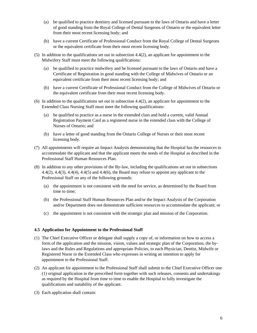- (a) be qualified to practice dentistry and licensed pursuant to the laws of Ontario and have a letter of good standing from the Royal College of Dental Surgeons of Ontario or the equivalent letter from their most recent licensing body; and
- (b) have a current Certificate of Professional Conduct from the Royal College of Dental Surgeons or the equivalent certificate from their most recent licensing body.
- (5) In addition to the qualifications set out in subsection 4.4(2), an applicant for appointment to the Midwifery Staff must meet the following qualifications:
	- (a) be qualified to practice midwifery and be licensed pursuant to the laws of Ontario and have a Certificate of Registration in good standing with the College of Midwives of Ontario or an equivalent certificate from their most recent licensing body; and
	- (b) have a current Certificate of Professional Conduct from the College of Midwives of Ontario or the equivalent certificate from their most recent licensing body.
- (6) In addition to the qualifications set out in subsection 4.4(2), an applicant for appointment to the Extended Class Nursing Staff must meet the following qualifications:
	- (a) be qualified to practice as a nurse in the extended class and hold a current, valid Annual Registration Payment Card as a registered nurse in the extended class with the College of Nurses of Ontario; and
	- (b) have a letter of good standing from the Ontario College of Nurses or their most recent licensing body.
- (7) All appointments will require an Impact Analysis demonstrating that the Hospital has the resources to accommodate the applicant and that the applicant meets the needs of the Hospital as described in the Professional Staff Human Resources Plan.
- (8) In addition to any other provisions of the By-law, including the qualifications set out in subsections 4.4(2), 4.4(3), 4.4(4), 4.4(5) and 4.4(6), the Board may refuse to appoint any applicant to the Professional Staff on any of the following grounds:
	- (a) the appointment is not consistent with the need for service, as determined by the Board from time to time;
	- (b) the Professional Staff Human Resources Plan and/or the Impact Analysis of the Corporation and/or Department does not demonstrate sufficient resources to accommodate the applicant; or
	- (c) the appointment is not consistent with the strategic plan and mission of the Corporation.

#### **4.5 Application for Appointment to the Professional Staff**

- (1) The Chief Executive Officer or delegate shall supply a copy of, or information on how to access a form of the application and the mission, vision, values and strategic plan of the Corporation, the bylaws and the Rules and Regulations and appropriate Policies, to each Physician, Dentist, Midwife or Registered Nurse in the Extended Class who expresses in writing an intention to apply for appointment to the Professional Staff.
- (2) An applicant for appointment to the Professional Staff shall submit to the Chief Executive Officer one (1) original application in the prescribed form together with such releases, consents and undertakings as required by the Hospital from time to time to enable the Hospital to fully investigate the qualifications and suitability of the applicant.
- (3) Each application shall contain: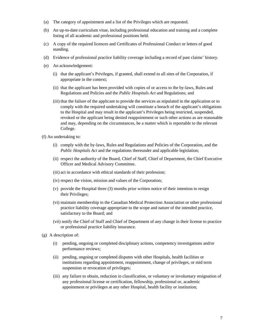- (a) The category of appointment and a list of the Privileges which are requested.
- (b) An up-to-date curriculum vitae, including professional education and training and a complete listing of all academic and professional positions held.
- (c) A copy of the required licences and Certificates of Professional Conduct or letters of good standing.
- (d) Evidence of professional practice liability coverage including a record of past claims' history.
- (e) An acknowledgement:
	- (i) that the applicant's Privileges, if granted, shall extend to all sites of the Corporation, if appropriate in the context;
	- (ii) that the applicant has been provided with copies of or access to the by-laws, Rules and Regulations and Policies and the *Public Hospitals Act* and Regulations; and
	- (iii) that the failure of the applicant to provide the services as stipulated in the application or to comply with the required undertaking will constitute a breach of the applicant's obligations to the Hospital and may result in the applicant's Privileges being restricted, suspended, revoked or the applicant being denied reappointment or such other actions as are reasonable and may, depending on the circumstances, be a matter which is reportable to the relevant College.
- (f) An undertaking to:
	- (i) comply with the by-laws, Rules and Regulations and Policies of the Corporation, and the *Public Hospitals Act* and the regulations thereunder and applicable legislation;
	- (ii) respect the authority of the Board, Chief of Staff, Chief of Department, the Chief Executive Officer and Medical Advisory Committee.
	- (iii) act in accordance with ethical standards of their profession;
	- (iv) respect the vision, mission and values of the Corporation;
	- (v) provide the Hospital three (3) months prior written notice of their intention to resign their Privileges;
	- (vi) maintain membership in the Canadian Medical Protection Association or other professional practice liability coverage appropriate to the scope and nature of the intended practice, satisfactory to the Board; and
	- (vii) notify the Chief of Staff and Chief of Department of any change in their license to practice or professional practice liability insurance.
- (g) A description of:
	- (i) pending, ongoing or completed disciplinary actions, competency investigations and/or performance reviews;
	- (ii) pending, ongoing or completed disputes with other Hospitals, health facilities or institutions regarding appointment, reappointment, change of privileges, or mid term suspension or revocation of privileges;
	- (iii) any failure to obtain, reduction in classification, or voluntary or involuntary resignation of any professional license or certification, fellowship, professional or, academic appointment or privileges at any other Hospital, health facility or institution;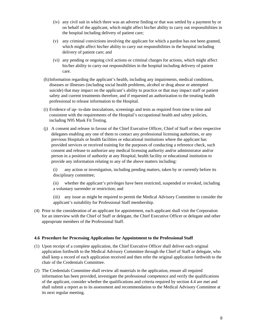- (iv) any civil suit in which there was an adverse finding or that was settled by a payment by or on behalf of the applicant, which might affect his/her ability to carry out responsibilities in the hospital including delivery of patient care;
- (v) any criminal convictions involving the applicant for which a pardon has not been granted, which might affect his/her ability to carry out responsibilities in the hospital including delivery of patient care; and
- (vi) any pending or ongoing civil actions or criminal charges for actions, which might affect his/her ability to carry out responsibilities in the hospital including delivery of patient care.
- (h) Information regarding the applicant's health, including any impairments, medical conditions, diseases or illnesses (including social health problems, alcohol or drug abuse or attempted suicide) that may impact on the applicant's ability to practice or that may impact staff or patient safety and current treatments therefore, and if requested an authorization to the treating health professional to release information to the Hospital.
- (i) Evidence of up- to-date inoculations, screenings and tests as required from time to time and consistent with the requirements of the Hospital's occupational health and safety policies, including N95 Mask Fit Testing.
- (j) A consent and release in favour of the Chief Executive Officer, Chief of Staff or their respective delegates enabling any one of them to contact any professional licensing authorities, or any previous Hospitals or health facilities or educational institutions where the applicant has provided services or received training for the purposes of conducting a reference check, such consent and release to authorize any medical licensing authority and/or administrator and/or person in a position of authority at any Hospital, health facility or educational institution to provide any information relating to any of the above matters including:

 (i) any action or investigation, including pending matters, taken by or currently before its disciplinary committee;

 (ii) whether the applicant's privileges have been restricted, suspended or revoked, including a voluntary surrender or restriction; and

 (iii) any issue as might be required to permit the Medical Advisory Committee to consider the applicant's suitability for Professional Staff membership.

(4) Prior to the consideration of an applicant for appointment, each applicant shall visit the Corporation for an interview with the Chief of Staff or delegate, the Chief Executive Officer or delegate and other appropriate members of the Professional Staff.

#### **4.6 Procedure for Processing Applications for Appointment to the Professional Staff**

- (1) Upon receipt of a complete application, the Chief Executive Officer shall deliver each original application forthwith to the Medical Advisory Committee through the Chief of Staff or delegate, who shall keep a record of each application received and then refer the original application forthwith to the chair of the Credentials Committee.
- (2) The Credentials Committee shall review all materials in the application, ensure all required information has been provided, investigate the professional competence and verify the qualifications of the applicant, consider whether the qualifications and criteria required by section 4.4 are met and shall submit a report as to its assessment and recommendation to the Medical Advisory Committee at its next regular meeting.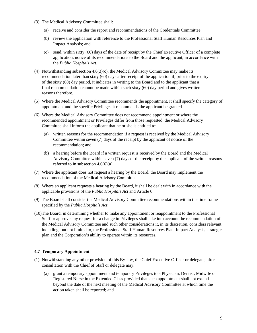- (3) The Medical Advisory Committee shall:
	- (a) receive and consider the report and recommendations of the Credentials Committee;
	- (b) review the application with reference to the Professional Staff Human Resources Plan and Impact Analysis; and
	- (c) send, within sixty (60) days of the date of receipt by the Chief Executive Officer of a complete application, notice of its recommendations to the Board and the applicant, in accordance with the *Public Hospitals Act*.
- (4) Notwithstanding subsection  $4.6(3)(c)$ , the Medical Advisory Committee may make its recommendation later than sixty (60) days after receipt of the application if, prior to the expiry of the sixty (60) day period, it indicates in writing to the Board and to the applicant that a final recommendation cannot be made within such sixty (60) day period and gives written reasons therefore.
- (5) Where the Medical Advisory Committee recommends the appointment, it shall specify the category of appointment and the specific Privileges it recommends the applicant be granted.
- (6) Where the Medical Advisory Committee does not recommend appointment or where the recommended appointment or Privileges differ from those requested, the Medical Advisory Committee shall inform the applicant that he or she is entitled to:
	- (a) written reasons for the recommendation if a request is received by the Medical Advisory Committee within seven (7) days of the receipt by the applicant of notice of the recommendation; and
	- (b) a hearing before the Board if a written request is received by the Board and the Medical Advisory Committee within seven (7) days of the receipt by the applicant of the written reasons referred to in subsection  $4.6(6)(a)$ .
- (7) Where the applicant does not request a hearing by the Board, the Board may implement the recommendation of the Medical Advisory Committee.
- (8) Where an applicant requests a hearing by the Board, it shall be dealt with in accordance with the applicable provisions of the *Public Hospitals Act* and Article 6.
- (9) The Board shall consider the Medical Advisory Committee recommendations within the time frame specified by the *Public Hospitals Act*.
- (10) The Board, in determining whether to make any appointment or reappointment to the Professional Staff or approve any request for a change in Privileges shall take into account the recommendation of the Medical Advisory Committee and such other considerations it, in its discretion, considers relevant including, but not limited to, the Professional Staff Human Resources Plan, Impact Analysis, strategic plan and the Corporation's ability to operate within its resources.

#### **4.7 Temporary Appointment**

- (1) Notwithstanding any other provision of this By-law, the Chief Executive Officer or delegate, after consultation with the Chief of Staff or delegate may:
	- (a) grant a temporary appointment and temporary Privileges to a Physician, Dentist, Midwife or Registered Nurse in the Extended Class provided that such appointment shall not extend beyond the date of the next meeting of the Medical Advisory Committee at which time the action taken shall be reported; and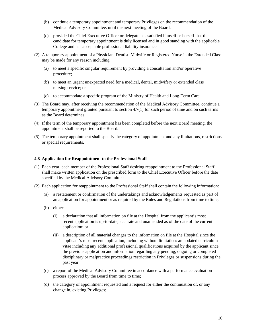- (b) continue a temporary appointment and temporary Privileges on the recommendation of the Medical Advisory Committee, until the next meeting of the Board,
- (c) provided the Chief Executive Officer or delegate has satisfied himself or herself that the candidate for temporary appointment is duly licensed and in good standing with the applicable College and has acceptable professional liability insurance.
- (2) A temporary appointment of a Physician, Dentist, Midwife or Registered Nurse in the Extended Class may be made for any reason including:
	- (a) to meet a specific singular requirement by providing a consultation and/or operative procedure;
	- (b) to meet an urgent unexpected need for a medical, dental, midwifery or extended class nursing service; or
	- (c) to accommodate a specific program of the Ministry of Health and Long-Term Care.
- (3) The Board may, after receiving the recommendation of the Medical Advisory Committee, continue a temporary appointment granted pursuant to section 4.7(1) for such period of time and on such terms as the Board determines.
- (4) If the term of the temporary appointment has been completed before the next Board meeting, the appointment shall be reported to the Board.
- (5) The temporary appointment shall specify the category of appointment and any limitations, restrictions or special requirements.

#### **4.8 Application for Reappointment to the Professional Staff**

- (1) Each year, each member of the Professional Staff desiring reappointment to the Professional Staff shall make written application on the prescribed form to the Chief Executive Officer before the date specified by the Medical Advisory Committee.
- (2) Each application for reappointment to the Professional Staff shall contain the following information:
	- (a) a restatement or confirmation of the undertakings and acknowledgements requested as part of an application for appointment or as required by the Rules and Regulations from time to time;
	- (b) either:
		- (i) a declaration that all information on file at the Hospital from the applicant's most recent application is up-to-date, accurate and unamended as of the date of the current application; or
		- (ii) a description of all material changes to the information on file at the Hospital since the applicant's most recent application, including without limitation: an updated curriculum vitae including any additional professional qualifications acquired by the applicant since the previous application and information regarding any pending, ongoing or completed disciplinary or malpractice proceedings restriction in Privileges or suspensions during the past year;
	- (c) a report of the Medical Advisory Committee in accordance with a performance evaluation process approved by the Board from time to time;
	- (d) the category of appointment requested and a request for either the continuation of, or any change in, existing Privileges;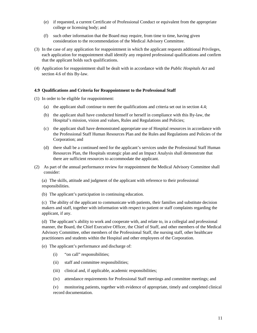- (e) if requested, a current Certificate of Professional Conduct or equivalent from the appropriate college or licensing body; and
- (f) such other information that the Board may require, from time to time, having given consideration to the recommendation of the Medical Advisory Committee.
- (3) In the case of any application for reappointment in which the applicant requests additional Privileges, each application for reappointment shall identify any required professional qualifications and confirm that the applicant holds such qualifications.
- (4) Application for reappointment shall be dealt with in accordance with the *Public Hospitals Act* and section 4.6 of this By-law.

#### **4.9 Qualifications and Criteria for Reappointment to the Professional Staff**

- (1) In order to be eligible for reappointment:
	- (a) the applicant shall continue to meet the qualifications and criteria set out in section 4.4;
	- (b) the applicant shall have conducted himself or herself in compliance with this By-law, the Hospital's mission, vision and values, Rules and Regulations and Policies;
	- (c) the applicant shall have demonstrated appropriate use of Hospital resources in accordance with the Professional Staff Human Resources Plan and the Rules and Regulations and Policies of the Corporation; and
	- (d) there shall be a continued need for the applicant's services under the Professional Staff Human Resources Plan, the Hospitals strategic plan and an Impact Analysis shall demonstrate that there are sufficient resources to accommodate the applicant.
- (2) As part of the annual performance review for reappointment the Medical Advisory Committee shall consider:

 (a) The skills, attitude and judgment of the applicant with reference to their professional responsibilities.

(b) The applicant's participation in continuing education.

 (c) The ability of the applicant to communicate with patients, their families and substitute decision makers and staff, together with information with respect to patient or staff complaints regarding the applicant, if any.

 (d) The applicant's ability to work and cooperate with, and relate to, in a collegial and professional manner, the Board, the Chief Executive Officer, the Chief of Staff, and other members of the Medical Advisory Committee, other members of the Professional Staff, the nursing staff, other healthcare practitioners and students within the Hospital and other employees of the Corporation.

- (e) The applicant's performance and discharge of:
	- (i) "on call" responsibilities;
	- (ii) staff and committee responsibilities;
	- (iii) clinical and, if applicable, academic responsibilities;
	- (iv) attendance requirements for Professional Staff meetings and committee meetings; and

 (v) monitoring patients, together with evidence of appropriate, timely and completed clinical record documentation.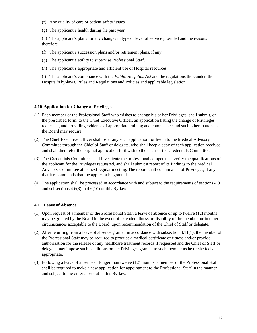- (f) Any quality of care or patient safety issues.
- (g) The applicant's health during the past year.

 (h) The applicant's plans for any changes in type or level of service provided and the reasons therefore.

- (f) The applicant's succession plans and/or retirement plans, if any.
- (g) The applicant's ability to supervise Professional Staff.
- (h) The applicant's appropriate and efficient use of Hospital resources.

 (i) The applicant's compliance with the *Public Hospitals Act* and the regulations thereunder, the Hospital's by-laws, Rules and Regulations and Policies and applicable legislation.

#### **4.10 Application for Change of Privileges**

- (1) Each member of the Professional Staff who wishes to change his or her Privileges, shall submit, on the prescribed form, to the Chief Executive Officer, an application listing the change of Privileges requested, and providing evidence of appropriate training and competence and such other matters as the Board may require.
- (2) The Chief Executive Officer shall refer any such application forthwith to the Medical Advisory Committee through the Chief of Staff or delegate, who shall keep a copy of each application received and shall then refer the original application forthwith to the chair of the Credentials Committee.
- (3) The Credentials Committee shall investigate the professional competence, verify the qualifications of the applicant for the Privileges requested, and shall submit a report of its findings to the Medical Advisory Committee at its next regular meeting. The report shall contain a list of Privileges, if any, that it recommends that the applicant be granted.
- (4) The application shall be processed in accordance with and subject to the requirements of sections 4.9 and subsections  $4.6(3)$  to  $4.6(10)$  of this By-law.

#### **4.11 Leave of Absence**

- (1) Upon request of a member of the Professional Staff, a leave of absence of up to twelve (12) months may be granted by the Board in the event of extended illness or disability of the member, or in other circumstances acceptable to the Board, upon recommendation of the Chief of Staff or delegate.
- (2) After returning from a leave of absence granted in accordance with subsection 4.11(1), the member of the Professional Staff may be required to produce a medical certificate of fitness and/or provide authorization for the release of any healthcare treatment records if requested and the Chief of Staff or delegate may impose such conditions on the Privileges granted to such member as he or she feels appropriate.
- (3) Following a leave of absence of longer than twelve (12) months, a member of the Professional Staff shall be required to make a new application for appointment to the Professional Staff in the manner and subject to the criteria set out in this By-law.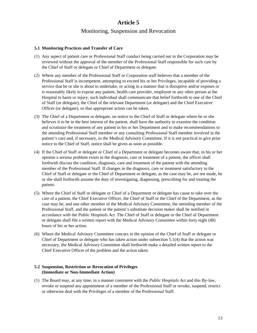# **Article 5**  Monitoring, Suspension and Revocation

#### **5.1 Monitoring Practices and Transfer of Care**

- (1) Any aspect of patient care or Professional Staff conduct being carried out in the Corporation may be reviewed without the approval of the member of the Professional Staff responsible for such care by the Chief of Staff or delegate or Chief of Department or delegate.
- (2) Where any member of the Professional Staff or Corporation staff believes that a member of the Professional Staff is incompetent, attempting to exceed his or her Privileges, incapable of providing a service that he or she is about to undertake, or acting in a manner that is disruptive and/or exposes or is reasonably likely to expose any patient, health care provider, employee or any other person at the Hospital to harm or injury, such individual shall communicate that belief forthwith to one of the Chief of Staff (or delegate), the Chief of the relevant Department (or delegate) and the Chief Executive Officer (or delegate), so that appropriate action can be taken.
- (3) The Chief of a Department or delegate, on notice to the Chief of Staff or delegate where he or she believes it to be in the best interest of the patient, shall have the authority to examine the condition and scrutinize the treatment of any patient in his or her Department and to make recommendations to the attending Professional Staff member or any consulting Professional Staff member involved in the patient's care and, if necessary, to the Medical Advisory Committee. If it is not practical to give prior notice to the Chief of Staff, notice shall be given as soon as possible.
- (4) If the Chief of Staff or delegate or Chief of a Department or delegate becomes aware that, in his or her opinion a serious problem exists in the diagnosis, care or treatment of a patient, the officer shall forthwith discuss the condition, diagnosis, care and treatment of the patient with the attending member of the Professional Staff. If changes in the diagnosis, care or treatment satisfactory to the Chief of Staff or delegate or the Chief of Department or delegate, as the case may be, are not made, he or she shall forthwith assume the duty of investigating, diagnosing, prescribing for and treating the patient.
- (5) Where the Chief of Staff or delegate or Chief of a Department or delegate has cause to take over the care of a patient, the Chief Executive Officer, the Chief of Staff or the Chief of the Department, as the case may be, and one other member of the Medical Advisory Committee, the attending member of the Professional Staff, and the patient or the patient's substitute decision maker shall be notified in accordance with the *Public Hospitals Act*. The Chief of Staff or delegate or the Chief of Department or delegate shall file a written report with the Medical Advisory Committee within forty eight (48) hours of his or her action.
- (6) Where the Medical Advisory Committee concurs in the opinion of the Chief of Staff or delegate or Chief of Department or delegate who has taken action under subsection 5.1(4) that the action was necessary, the Medical Advisory Committee shall forthwith make a detailed written report to the Chief Executive Officer of the problem and the action taken.

#### **5.2 Suspension, Restriction or Revocation of Privileges (Immediate or Non-Immediate Action)**

(1) The Board may, at any time, in a manner consistent with the *Public Hospitals Act* and this By-law, revoke or suspend any appointment of a member of the Professional Staff or revoke, suspend, restrict or otherwise deal with the Privileges of a member of the Professional Staff.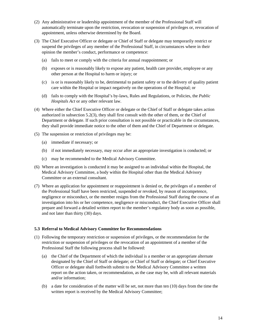- (2) Any administrative or leadership appointment of the member of the Professional Staff will automatically terminate upon the restriction, revocation or suspension of privileges or, revocation of appointment, unless otherwise determined by the Board.
- (3) The Chief Executive Officer or delegate or Chief of Staff or delegate may temporarily restrict or suspend the privileges of any member of the Professional Staff, in circumstances where in their opinion the member's conduct, performance or competence:
	- (a) fails to meet or comply with the criteria for annual reappointment; or
	- (b) exposes or is reasonably likely to expose any patient, health care provider, employee or any other person at the Hospital to harm or injury; or
	- (c) is or is reasonably likely to be, detrimental to patient safety or to the delivery of quality patient care within the Hospital or impact negatively on the operations of the Hospital; or
	- (d) fails to comply with the Hospital's by-laws, Rules and Regulations, or Policies, the *Public Hospitals Act* or any other relevant law.
- (4) Where either the Chief Executive Officer or delegate or the Chief of Staff or delegate takes action authorized in subsection 5.2(3), they shall first consult with the other of them, or the Chief of Department or delegate. If such prior consultation is not possible or practicable in the circumstances, they shall provide immediate notice to the other of them and the Chief of Department or delegate.
- (5) The suspension or restriction of privileges may be:
	- (a) immediate if necessary; or
	- (b) if not immediately necessary, may occur after an appropriate investigation is conducted; or
	- (c) may be recommended to the Medical Advisory Committee.
- (6) Where an investigation is conducted it may be assigned to an individual within the Hospital, the Medical Advisory Committee, a body within the Hospital other than the Medical Advisory Committee or an external consultant.
- (7) Where an application for appointment or reappointment is denied or, the privileges of a member of the Professional Staff have been restricted, suspended or revoked, by reason of incompetence, negligence or misconduct, or the member resigns from the Professional Staff during the course of an investigation into his or her competence, negligence or misconduct, the Chief Executive Officer shall prepare and forward a detailed written report to the member's regulatory body as soon as possible, and not later than thirty (30) days.

#### **5.3 Referral to Medical Advisory Committee for Recommendations**

- (1) Following the temporary restriction or suspension of privileges, or the recommendation for the restriction or suspension of privileges or the revocation of an appointment of a member of the Professional Staff the following process shall be followed:
	- (a) the Chief of the Department of which the individual is a member or an appropriate alternate designated by the Chief of Staff or delegate; or Chief of Staff or delegate; or Chief Executive Officer or delegate shall forthwith submit to the Medical Advisory Committee a written report on the action taken, or recommendation, as the case may be, with all relevant materials and/or information;
	- (b) a date for consideration of the matter will be set, not more than ten (10) days from the time the written report is received by the Medical Advisory Committee;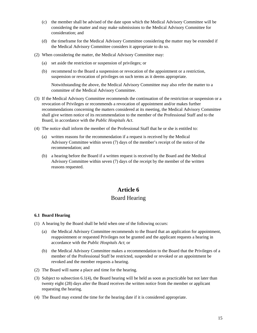- (c) the member shall be advised of the date upon which the Medical Advisory Committee will be considering the matter and may make submissions to the Medical Advisory Committee for consideration; and
- (d) the timeframe for the Medical Advisory Committee considering the matter may be extended if the Medical Advisory Committee considers it appropriate to do so.
- (2) When considering the matter, the Medical Advisory Committee may:
	- (a) set aside the restriction or suspension of privileges; or
	- (b) recommend to the Board a suspension or revocation of the appointment or a restriction, suspension or revocation of privileges on such terms as it deems appropriate.

 Notwithstanding the above, the Medical Advisory Committee may also refer the matter to a committee of the Medical Advisory Committee.

- (3) If the Medical Advisory Committee recommends the continuation of the restriction or suspension or a revocation of Privileges or recommends a revocation of appointment and/or makes further recommendations concerning the matters considered at its meeting, the Medical Advisory Committee shall give written notice of its recommendation to the member of the Professional Staff and to the Board, in accordance with the *Public Hospitals Act*.
- (4) The notice shall inform the member of the Professional Staff that he or she is entitled to:
	- (a) written reasons for the recommendation if a request is received by the Medical Advisory Committee within seven (7) days of the member's receipt of the notice of the recommendation; and
	- (b) a hearing before the Board if a written request is received by the Board and the Medical Advisory Committee within seven (7) days of the receipt by the member of the written reasons requested.

# **Article 6**  Board Hearing

#### **6.1 Board Hearing**

- (1) A hearing by the Board shall be held when one of the following occurs:
	- (a) the Medical Advisory Committee recommends to the Board that an application for appointment, reappointment or requested Privileges not be granted and the applicant requests a hearing in accordance with the *Public Hospitals Act*; or
	- (b) the Medical Advisory Committee makes a recommendation to the Board that the Privileges of a member of the Professional Staff be restricted, suspended or revoked or an appointment be revoked and the member requests a hearing.
- (2) The Board will name a place and time for the hearing.
- (3) Subject to subsection 6.1(4), the Board hearing will be held as soon as practicable but not later than twenty eight (28) days after the Board receives the written notice from the member or applicant requesting the hearing.
- (4) The Board may extend the time for the hearing date if it is considered appropriate.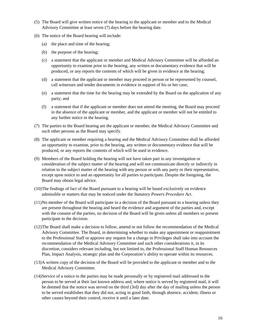- (5) The Board will give written notice of the hearing to the applicant or member and to the Medical Advisory Committee at least seven (7) days before the hearing date.
- (6) The notice of the Board hearing will include:
	- (a) the place and time of the hearing;
	- (b) the purpose of the hearing;
	- (c) a statement that the applicant or member and Medical Advisory Committee will be afforded an opportunity to examine prior to the hearing, any written or documentary evidence that will be produced, or any reports the contents of which will be given in evidence at the hearing;
	- (d) a statement that the applicant or member may proceed in person or be represented by counsel, call witnesses and tender documents in evidence in support of his or her case;
	- (e) a statement that the time for the hearing may be extended by the Board on the application of any party; and
	- (f) a statement that if the applicant or member does not attend the meeting, the Board may proceed in the absence of the applicant or member, and the applicant or member will not be entitled to any further notice in the hearing.
- (7) The parties to the Board hearing are the applicant or member, the Medical Advisory Committee and such other persons as the Board may specify.
- (8) The applicant or member requiring a hearing and the Medical Advisory Committee shall be afforded an opportunity to examine, prior to the hearing, any written or documentary evidence that will be produced, or any reports the contents of which will be used in evidence.
- (9) Members of the Board holding the hearing will not have taken part in any investigation or consideration of the subject matter of the hearing and will not communicate directly or indirectly in relation to the subject matter of the hearing with any person or with any party or their representative, except upon notice to and an opportunity for all parties to participate. Despite the foregoing, the Board may obtain legal advice.
- (10) The findings of fact of the Board pursuant to a hearing will be based exclusively on evidence admissible or matters that may be noticed under the *Statutory Powers Procedure Act*.
- (11) No member of the Board will participate in a decision of the Board pursuant to a hearing unless they are present throughout the hearing and heard the evidence and argument of the parties and, except with the consent of the parties, no decision of the Board will be given unless all members so present participate in the decision.
- (12) The Board shall make a decision to follow, amend or not follow the recommendation of the Medical Advisory Committee. The Board, in determining whether to make any appointment or reappointment to the Professional Staff or approve any request for a change in Privileges shall take into account the recommendation of the Medical Advisory Committee and such other considerations it, in its discretion, considers relevant including, but not limited to, the Professional Staff Human Resources Plan, Impact Analysis, strategic plan and the Corporation's ability to operate within its resources.
- (13) A written copy of the decision of the Board will be provided to the applicant or member and to the Medical Advisory Committee.
- (14) Service of a notice to the parties may be made personally or by registered mail addressed to the person to be served at their last known address and, where notice is served by registered mail, it will be deemed that the notice was served on the third (3rd) day after the day of mailing unless the person to be served establishes that they did not, acting in good faith, through absence, accident, illness or other causes beyond their control, receive it until a later date.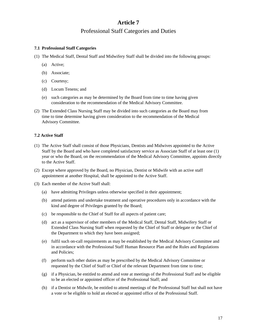# **Article 7**  Professional Staff Categories and Duties

#### **7.1 Professional Staff Categories**

- (1) The Medical Staff, Dental Staff and Midwifery Staff shall be divided into the following groups:
	- (a) Active;
	- (b) Associate;
	- (c) Courtesy;
	- (d) Locum Tenens; and
	- (e) such categories as may be determined by the Board from time to time having given consideration to the recommendation of the Medical Advisory Committee.
- (2) The Extended Class Nursing Staff may be divided into such categories as the Board may from time to time determine having given consideration to the recommendation of the Medical Advisory Committee.

### **7.2 Active Staff**

- (1) The Active Staff shall consist of those Physicians, Dentists and Midwives appointed to the Active Staff by the Board and who have completed satisfactory service as Associate Staff of at least one (1) year or who the Board, on the recommendation of the Medical Advisory Committee, appoints directly to the Active Staff.
- (2) Except where approved by the Board, no Physician, Dentist or Midwife with an active staff appointment at another Hospital, shall be appointed to the Active Staff.
- (3) Each member of the Active Staff shall:
	- (a) have admitting Privileges unless otherwise specified in their appointment;
	- (b) attend patients and undertake treatment and operative procedures only in accordance with the kind and degree of Privileges granted by the Board;
	- (c) be responsible to the Chief of Staff for all aspects of patient care;
	- (d) act as a supervisor of other members of the Medical Staff, Dental Staff, Midwifery Staff or Extended Class Nursing Staff when requested by the Chief of Staff or delegate or the Chief of the Department to which they have been assigned;
	- (e) fulfil such on-call requirements as may be established by the Medical Advisory Committee and in accordance with the Professional Staff Human Resource Plan and the Rules and Regulations and Policies;
	- (f) perform such other duties as may be prescribed by the Medical Advisory Committee or requested by the Chief of Staff or Chief of the relevant Department from time to time;
	- (g) if a Physician, be entitled to attend and vote at meetings of the Professional Staff and be eligible to be an elected or appointed officer of the Professional Staff; and
	- (h) if a Dentist or Midwife, be entitled to attend meetings of the Professional Staff but shall not have a vote or be eligible to hold an elected or appointed office of the Professional Staff.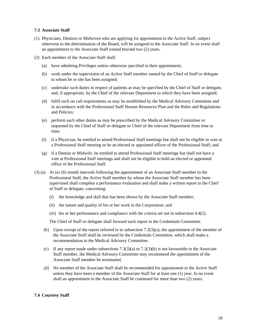#### **7.3 Associate Staff**

- (1) Physicians, Dentists or Midwives who are applying for appointment to the Active Staff, subject otherwise to the determination of the Board, will be assigned to the Associate Staff. In no event shall an appointment to the Associate Staff extend beyond two (2) years.
- (2) Each member of the Associate Staff shall:
	- (a) have admitting Privileges unless otherwise specified in their appointment;
	- (b) work under the supervision of an Active Staff member named by the Chief of Staff or delegate to whom he or she has been assigned;
	- (c) undertake such duties in respect of patients as may be specified by the Chief of Staff or delegate, and, if appropriate, by the Chief of the relevant Department to which they have been assigned;
	- (d) fulfil such on call requirements as may be established by the Medical Advisory Committee and in accordance with the Professional Staff Human Resources Plan and the Rules and Regulations and Policies;
	- (e) perform such other duties as may be prescribed by the Medical Advisory Committee or requested by the Chief of Staff or delegate or Chief of the relevant Department from time to time;
	- (f) if a Physician, be entitled to attend Professional Staff meetings but shall not be eligible to vote at a Professional Staff meeting or be an elected or appointed officer of the Professional Staff; and
	- (g) if a Dentist or Midwife, be entitled to attend Professional Staff meetings but shall not have a vote at Professional Staff meetings and shall not be eligible to hold an elected or appointed office of the Professional Staff.
- (3) (a) At six (6) month intervals following the appointment of an Associate Staff member to the Professional Staff, the Active Staff member by whom the Associate Staff member has been supervised shall complete a performance evaluation and shall make a written report to the Chief of Staff or delegate, concerning:
	- (i) the knowledge and skill that has been shown by the Associate Staff member;
	- (ii) the nature and quality of his or her work in the Corporation; and
	- (iii) his or her performance and compliance with the criteria set out in subsection 4.4(2).

The Chief of Staff or delegate shall forward such report to the Credentials Committee.

- (b) Upon receipt of the report referred to in subsection  $7.3(3)(a)$ , the appointment of the member of the Associate Staff shall be reviewed by the Credentials Committee, which shall make a recommendation to the Medical Advisory Committee.
- (c) If any report made under subsections  $7.3(3)(a)$  or  $7.3(3)(b)$  is not favourable to the Associate Staff member, the Medical Advisory Committee may recommend the appointment of the Associate Staff member be terminated.
- (d) No member of the Associate Staff shall be recommended for appointment to the Active Staff unless they have been a member of the Associate Staff for at least one (1) year. In no event shall an appointment to the Associate Staff be continued for more than two (2) years.

### **7.4 Courtesy Staff**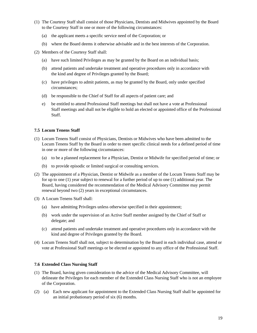- (1) The Courtesy Staff shall consist of those Physicians, Dentists and Midwives appointed by the Board to the Courtesy Staff in one or more of the following circumstances:
	- (a) the applicant meets a specific service need of the Corporation; or
	- (b) where the Board deems it otherwise advisable and in the best interests of the Corporation.
- (2) Members of the Courtesy Staff shall:
	- (a) have such limited Privileges as may be granted by the Board on an individual basis;
	- (b) attend patients and undertake treatment and operative procedures only in accordance with the kind and degree of Privileges granted by the Board;
	- (c) have privileges to admit patients, as may be granted by the Board, only under specified circumstances;
	- (d) be responsible to the Chief of Staff for all aspects of patient care; and
	- e) be entitled to attend Professional Staff meetings but shall not have a vote at Professional Staff meetings and shall not be eligible to hold an elected or appointed office of the Professional Staff.

#### **7.5 Locum Tenens Staff**

- (1) Locum Tenens Staff consist of Physicians, Dentists or Midwives who have been admitted to the Locum Tenens Staff by the Board in order to meet specific clinical needs for a defined period of time in one or more of the following circumstances:
	- (a) to be a planned replacement for a Physician, Dentist or Midwife for specified period of time; or
	- (b) to provide episodic or limited surgical or consulting services.
- (2) The appointment of a Physician, Dentist or Midwife as a member of the Locum Tenens Staff may be for up to one (1) year subject to renewal for a further period of up to one (1) additional year. The Board, having considered the recommendation of the Medical Advisory Committee may permit renewal beyond two (2) years in exceptional circumstances.
- (3) A Locum Tenens Staff shall:
	- (a) have admitting Privileges unless otherwise specified in their appointment;
	- (b) work under the supervision of an Active Staff member assigned by the Chief of Staff or delegate; and
	- (c) attend patients and undertake treatment and operative procedures only in accordance with the kind and degree of Privileges granted by the Board.
- (4) Locum Tenens Staff shall not, subject to determination by the Board in each individual case, attend or vote at Professional Staff meetings or be elected or appointed to any office of the Professional Staff.

#### **7.6 Extended Class Nursing Staff**

- (1) The Board, having given consideration to the advice of the Medical Advisory Committee, will delineate the Privileges for each member of the Extended Class Nursing Staff who is not an employee of the Corporation.
- (2) (a) Each new applicant for appointment to the Extended Class Nursing Staff shall be appointed for an initial probationary period of six (6) months.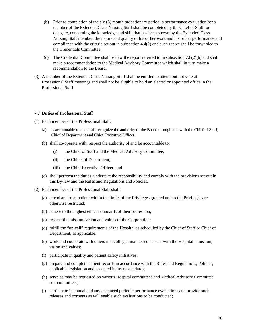- (b) Prior to completion of the six (6) month probationary period, a performance evaluation for a member of the Extended Class Nursing Staff shall be completed by the Chief of Staff, or delegate, concerning the knowledge and skill that has been shown by the Extended Class Nursing Staff member, the nature and quality of his or her work and his or her performance and compliance with the criteria set out in subsection 4.4(2) and such report shall be forwarded to the Credentials Committee.
- (c) The Credential Committee shall review the report referred to in subsection 7.6(2)(b) and shall make a recommendation to the Medical Advisory Committee which shall in turn make a recommendation to the Board.
- (3) A member of the Extended Class Nursing Staff shall be entitled to attend but not vote at Professional Staff meetings and shall not be eligible to hold an elected or appointed office in the Professional Staff.

#### **7.7 Duties of Professional Staff**

- (1) Each member of the Professional Staff:
	- (a) is accountable to and shall recognize the authority of the Board through and with the Chief of Staff, Chief of Department and Chief Executive Officer.
	- (b) shall co-operate with, respect the authority of and be accountable to:
		- (i) the Chief of Staff and the Medical Advisory Committee;
		- (ii) the Chiefs of Department;
		- (iii) the Chief Executive Officer; and
	- (c) shall perform the duties, undertake the responsibility and comply with the provisions set out in this By-law and the Rules and Regulations and Policies.
- (2) Each member of the Professional Staff shall:
	- (a) attend and treat patient within the limits of the Privileges granted unless the Privileges are otherwise restricted;
	- (b) adhere to the highest ethical standards of their profession;
	- (c) respect the mission, vision and values of the Corporation;
	- (d) fulfill the "on-call" requirements of the Hospital as scheduled by the Chief of Staff or Chief of Department, as applicable;
	- (e) work and cooperate with others in a collegial manner consistent with the Hospital's mission, vision and values;
	- (f) participate in quality and patient safety initiatives;
	- (g) prepare and complete patient records in accordance with the Rules and Regulations, Policies, applicable legislation and accepted industry standards;
	- (h) serve as may be requested on various Hospital committees and Medical Advisory Committee sub-committees;
	- (i) participate in annual and any enhanced periodic performance evaluations and provide such releases and consents as will enable such evaluations to be conducted;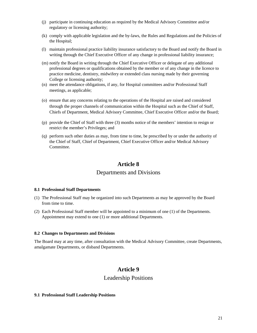- (j) participate in continuing education as required by the Medical Advisory Committee and/or regulatory or licensing authority;
- (k) comply with applicable legislation and the by-laws, the Rules and Regulations and the Policies of the Hospital;
- (l) maintain professional practice liability insurance satisfactory to the Board and notify the Board in writing through the Chief Executive Officer of any change in professional liability insurance;
- (m) notify the Board in writing through the Chief Executive Officer or delegate of any additional professional degrees or qualifications obtained by the member or of any change in the licence to practice medicine, dentistry, midwifery or extended class nursing made by their governing College or licensing authority;
- (n) meet the attendance obligations, if any, for Hospital committees and/or Professional Staff meetings, as applicable;
- (o) ensure that any concerns relating to the operations of the Hospital are raised and considered through the proper channels of communication within the Hospital such as the Chief of Staff, Chiefs of Department, Medical Advisory Committee, Chief Executive Officer and/or the Board;
- (p) provide the Chief of Staff with three (3) months notice of the members' intention to resign or restrict the member's Privileges; and
- (q) perform such other duties as may, from time to time, be prescribed by or under the authority of the Chief of Staff, Chief of Department, Chief Executive Officer and/or Medical Advisory Committee.

# **Article 8**

# Departments and Divisions

#### **8.1 Professional Staff Departments**

- (1) The Professional Staff may be organized into such Departments as may be approved by the Board from time to time.
- (2) Each Professional Staff member will be appointed to a minimum of one (1) of the Departments. Appointment may extend to one (1) or more additional Departments.

#### **8.2 Changes to Departments and Divisions**

The Board may at any time, after consultation with the Medical Advisory Committee, create Departments, amalgamate Departments, or disband Departments.

# **Article 9**

## Leadership Positions

#### **9.1 Professional Staff Leadership Positions**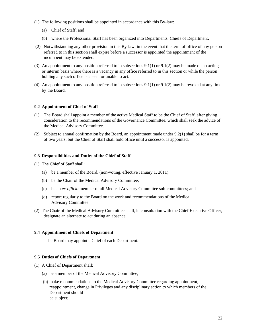- (1) The following positions shall be appointed in accordance with this By-law:
	- (a) Chief of Staff; and
	- (b) where the Professional Staff has been organized into Departments, Chiefs of Department.
- (2) Notwithstanding any other provision in this By-law, in the event that the term of office of any person referred to in this section shall expire before a successor is appointed the appointment of the incumbent may be extended.
- (3) An appointment to any position referred to in subsections 9.1(1) or 9.1(2) may be made on an acting or interim basis where there is a vacancy in any office referred to in this section or while the person holding any such office is absent or unable to act.
- (4) An appointment to any position referred to in subsections 9.1(1) or 9.1(2) may be revoked at any time by the Board.

#### **9.2 Appointment of Chief of Staff**

- (1) The Board shall appoint a member of the active Medical Staff to be the Chief of Staff, after giving consideration to the recommendations of the Governance Committee, which shall seek the advice of the Medical Advisory Committee.
- (2) Subject to annual confirmation by the Board, an appointment made under 9.2(1) shall be for a term of two years, but the Chief of Staff shall hold office until a successor is appointed.

#### **9.3 Responsibilities and Duties of the Chief of Staff**

- (1) The Chief of Staff shall:
	- (a) be a member of the Board, (non-voting, effective January 1, 2011);
	- (b) be the Chair of the Medical Advisory Committee;
	- (c) be an *ex-officio* member of all Medical Advisory Committee sub-committees; and
	- (d) report regularly to the Board on the work and recommendations of the Medical Advisory Committee.
- (2) The Chair of the Medical Advisory Committee shall, in consultation with the Chief Executive Officer, designate an alternate to act during an absence

#### **9.4 Appointment of Chiefs of Department**

The Board may appoint a Chief of each Department.

#### **9.5 Duties of Chiefs of Department**

- (1) A Chief of Department shall:
	- (a) be a member of the Medical Advisory Committee;
	- (b) make recommendations to the Medical Advisory Committee regarding appointment, reappointment, change in Privileges and any disciplinary action to which members of the Department should be subject;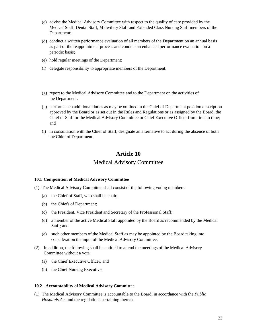- (c) advise the Medical Advisory Committee with respect to the quality of care provided by the Medical Staff, Dental Staff, Midwifery Staff and Extended Class Nursing Staff members of the Department;
- (d) conduct a written performance evaluation of all members of the Department on an annual basis as part of the reappointment process and conduct an enhanced performance evaluation on a periodic basis;
- (e) hold regular meetings of the Department;
- (f) delegate responsibility to appropriate members of the Department;
- (g) report to the Medical Advisory Committee and to the Department on the activities of the Department;
- (h) perform such additional duties as may be outlined in the Chief of Department position description approved by the Board or as set out in the Rules and Regulations or as assigned by the Board, the Chief of Staff or the Medical Advisory Committee or Chief Executive Officer from time to time; and
- (i) in consultation with the Chief of Staff, designate an alternative to act during the absence of both the Chief of Department.

# **Article 10**  Medical Advisory Committee

#### **10.1 Composition of Medical Advisory Committee**

- (1) The Medical Advisory Committee shall consist of the following voting members:
	- (a) the Chief of Staff, who shall be chair;
	- (b) the Chiefs of Department;
	- (c) the President, Vice President and Secretary of the Professional Staff;
	- (d) a member of the active Medical Staff appointed by the Board as recommended by the Medical Staff; and
	- (e) such other members of the Medical Staff as may be appointed by the Board taking into consideration the input of the Medical Advisory Committee.
- (2) In addition, the following shall be entitled to attend the meetings of the Medical Advisory Committee without a vote:
	- (a) the Chief Executive Officer; and
	- (b) the Chief Nursing Executive.

#### **10.2 Accountability of Medical Advisory Committee**

(1) The Medical Advisory Committee is accountable to the Board, in accordance with the *Public Hospitals Act* and the regulations pertaining thereto.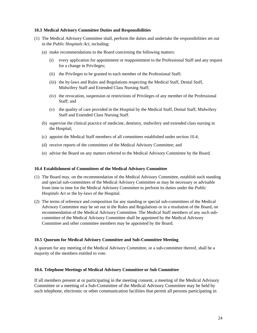#### **10.3 Medical Advisory Committee Duties and Responsibilities**

- (1) The Medical Advisory Committee shall, perform the duties and undertake the responsibilities set out in the *Public Hospitals Act*, including:
	- (a) make recommendations to the Board concerning the following matters:
		- (i) every application for appointment or reappointment to the Professional Staff and any request for a change in Privileges;
		- (ii) the Privileges to be granted to each member of the Professional Staff;
		- (iii) the by-laws and Rules and Regulations respecting the Medical Staff, Dental Staff, Midwifery Staff and Extended Class Nursing Staff;
		- (iv) the revocation, suspension or restrictions of Privileges of any member of the Professional Staff; and
		- (v) the quality of care provided in the Hospital by the Medical Staff, Dental Staff, Midwifery Staff and Extended Class Nursing Staff.
	- (b) supervise the clinical practice of medicine, dentistry, midwifery and extended class nursing in the Hospital;
	- (c) appoint the Medical Staff members of all committees established under section 10.4;
	- (d) receive reports of the committees of the Medical Advisory Committee; and
	- (e) advise the Board on any matters referred to the Medical Advisory Committee by the Board.

#### **10.4 Establishment of Committees of the Medical Advisory Committee**

- (1) The Board may, on the recommendation of the Medical Advisory Committee, establish such standing and special sub-committees of the Medical Advisory Committee as may be necessary or advisable from time to time for the Medical Advisory Committee to perform its duties under the *Public Hospitals Act* or the by-laws of the Hospital.
- (2) The terms of reference and composition for any standing or special sub-committees of the Medical Advisory Committee may be set out in the Rules and Regulations or in a resolution of the Board, on recommendation of the Medical Advisory Committee. The Medical Staff members of any such subcommittee of the Medical Advisory Committee shall be appointed by the Medical Advisory Committee and other committee members may be appointed by the Board.

#### **10.5 Quorum for Medical Advisory Committee and Sub-Committee Meeting**

A quorum for any meeting of the Medical Advisory Committee, or a sub-committee thereof, shall be a majority of the members entitled to vote.

#### **10.6. Telephone Meetings of Medical Advisory Committee or Sub Committee**

If all members present at or participating in the meeting consent, a meeting of the Medical Advisory Committee or a meeting of a Sub-Committee of the Medical Advisory Committee may be held by such telephone, electronic or other communication facilities that permit all persons participating in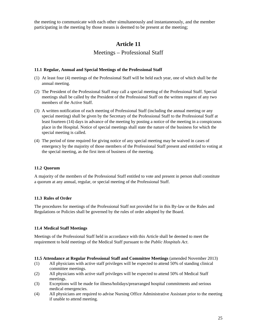the meeting to communicate with each other simultaneously and instantaneously, and the member participating in the meeting by those means is deemed to be present at the meeting;

# **Article 11**

# Meetings – Professional Staff

#### **11.1 Regular, Annual and Special Meetings of the Professional Staff**

- (1) At least four (4) meetings of the Professional Staff will be held each year, one of which shall be the annual meeting.
- (2) The President of the Professional Staff may call a special meeting of the Professional Staff. Special meetings shall be called by the President of the Professional Staff on the written request of any two members of the Active Staff.
- (3) A written notification of each meeting of Professional Staff (including the annual meeting or any special meeting) shall be given by the Secretary of the Professional Staff to the Professional Staff at least fourteen (14) days in advance of the meeting by posting a notice of the meeting in a conspicuous place in the Hospital. Notice of special meetings shall state the nature of the business for which the special meeting is called.
- (4) The period of time required for giving notice of any special meeting may be waived in cases of emergency by the majority of those members of the Professional Staff present and entitled to voting at the special meeting, as the first item of business of the meeting.

#### **11.2 Quorum**

A majority of the members of the Professional Staff entitled to vote and present in person shall constitute a quorum at any annual, regular, or special meeting of the Professional Staff.

#### **11.3 Rules of Order**

The procedures for meetings of the Professional Staff not provided for in this By-law or the Rules and Regulations or Policies shall be governed by the rules of order adopted by the Board.

#### **11.4 Medical Staff Meetings**

Meetings of the Professional Staff held in accordance with this Article shall be deemed to meet the requirement to hold meetings of the Medical Staff pursuant to the *Public Hospitals Act*.

**11.5 Attendance at Regular Professional Staff and Committee Meetings** (amended November 2013)

- (1) All physicians with active staff privileges will be expected to attend 50% of standing clinical committee meetings.
- (2) All physicians with active staff privileges will be expected to attend 50% of Medical Staff meetings.
- (3) Exceptions will be made for illness/holidays/prearranged hospital commitments and serious medical emergencies.
- (4) All physicians are required to advise Nursing Office Administrative Assistant prior to the meeting if unable to attend meeting.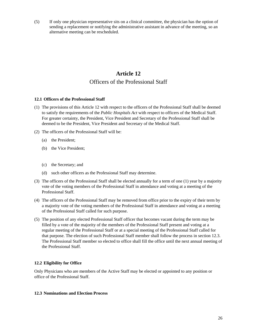(5) If only one physician representative sits on a clinical committee, the physician has the option of sending a replacement or notifying the administrative assistant in advance of the meeting, so an alternative meeting can be rescheduled.

# **Article 12**

# Officers of the Professional Staff

#### **12.1 Officers of the Professional Staff**

- (1) The provisions of this Article 12 with respect to the officers of the Professional Staff shall be deemed to satisfy the requirements of the *Public Hospitals Act* with respect to officers of the Medical Staff. For greater certainty, the President, Vice President and Secretary of the Professional Staff shall be deemed to be the President, Vice President and Secretary of the Medical Staff.
- (2) The officers of the Professional Staff will be:
	- (a) the President;
	- (b) the Vice President;
	- (c) the Secretary; and
	- (d) such other officers as the Professional Staff may determine.
- (3) The officers of the Professional Staff shall be elected annually for a term of one (1) year by a majority vote of the voting members of the Professional Staff in attendance and voting at a meeting of the Professional Staff.
- (4) The officers of the Professional Staff may be removed from office prior to the expiry of their term by a majority vote of the voting members of the Professional Staff in attendance and voting at a meeting of the Professional Staff called for such purpose.
- (5) The position of any elected Professional Staff officer that becomes vacant during the term may be filled by a vote of the majority of the members of the Professional Staff present and voting at a regular meeting of the Professional Staff or at a special meeting of the Professional Staff called for that purpose. The election of such Professional Staff member shall follow the process in section 12.3. The Professional Staff member so elected to office shall fill the office until the next annual meeting of the Professional Staff.

#### **12.2 Eligibility for Office**

Only Physicians who are members of the Active Staff may be elected or appointed to any position or office of the Professional Staff.

#### **12.3 Nominations and Election Process**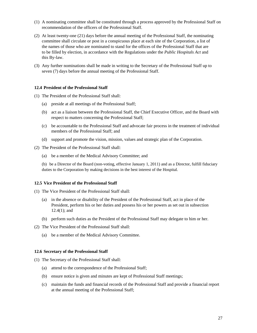- (1) A nominating committee shall be constituted through a process approved by the Professional Staff on recommendation of the officers of the Professional Staff.
- (2) At least twenty-one (21) days before the annual meeting of the Professional Staff, the nominating committee shall circulate or post in a conspicuous place at each site of the Corporation, a list of the names of those who are nominated to stand for the offices of the Professional Staff that are to be filled by election, in accordance with the Regulations under the *Public Hospitals Act* and this By-law.
- (3) Any further nominations shall be made in writing to the Secretary of the Professional Staff up to seven (7) days before the annual meeting of the Professional Staff.

#### **12.4 President of the Professional Staff**

- (1) The President of the Professional Staff shall:
	- (a) preside at all meetings of the Professional Staff;
	- (b) act as a liaison between the Professional Staff, the Chief Executive Officer, and the Board with respect to matters concerning the Professional Staff;
	- (c) be accountable to the Professional Staff and advocate fair process in the treatment of individual members of the Professional Staff; and
	- (d) support and promote the vision, mission, values and strategic plan of the Corporation.
- (2) The President of the Professional Staff shall:
	- (a) be a member of the Medical Advisory Committee; and
	- (b) be a Director of the Board (non-voting, effective January 1, 2011) and as a Director, fulfill fiduciary duties to the Corporation by making decisions in the best interest of the Hospital.

#### **12.5 Vice President of the Professional Staff**

- (1) The Vice President of the Professional Staff shall:
	- (a) in the absence or disability of the President of the Professional Staff, act in place of the President, perform his or her duties and possess his or her powers as set out in subsection 12.4(1); and
	- (b) perform such duties as the President of the Professional Staff may delegate to him or her.
- (2) The Vice President of the Professional Staff shall:
	- (a) be a member of the Medical Advisory Committee.

#### **12.6 Secretary of the Professional Staff**

- (1) The Secretary of the Professional Staff shall:
	- (a) attend to the correspondence of the Professional Staff;
	- (b) ensure notice is given and minutes are kept of Professional Staff meetings;
	- (c) maintain the funds and financial records of the Professional Staff and provide a financial report at the annual meeting of the Professional Staff;